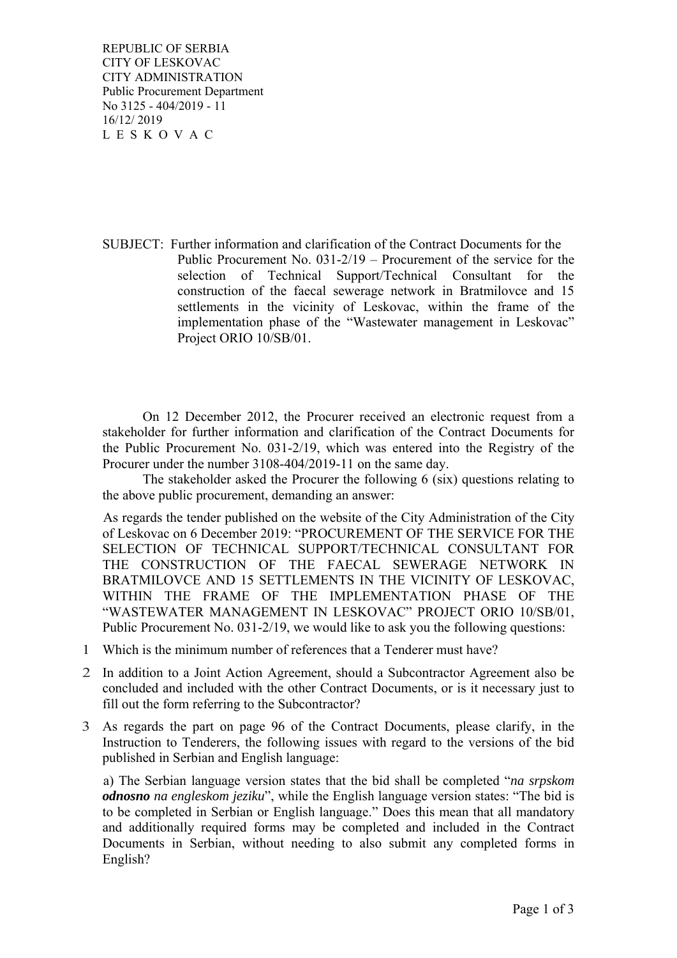REPUBLIC OF SERBIA CITY OF LESKOVAC CITY ADMINISTRATION Public Procurement Department No 3125 - 404/2019 - 11 16/12/ 2019 L E S K O V A C

SUBJECT: Further information and clarification of the Contract Documents for the Public Procurement No. 031-2/19 – Procurement of the service for the selection of Technical Support/Technical Consultant for the construction of the faecal sewerage network in Bratmilovce and 15 settlements in the vicinity of Leskovac, within the frame of the implementation phase of the "Wastewater management in Leskovac" Project ORIO 10/SB/01.

 On 12 December 2012, the Procurer received an electronic request from a stakeholder for further information and clarification of the Contract Documents for the Public Procurement No. 031-2/19, which was entered into the Registry of the Procurer under the number 3108-404/2019-11 on the same day.

 The stakeholder asked the Procurer the following 6 (six) questions relating to the above public procurement, demanding an answer:

As regards the tender published on the website of the City Administration of the City of Leskovac on 6 December 2019: "PROCUREMENT OF THE SERVICE FOR THE SELECTION OF TECHNICAL SUPPORT/TECHNICAL CONSULTANT FOR THE CONSTRUCTION OF THE FAECAL SEWERAGE NETWORK IN BRATMILOVCE AND 15 SETTLEMENTS IN THE VICINITY OF LESKOVAC, WITHIN THE FRAME OF THE IMPLEMENTATION PHASE OF THE "WASTEWATER MANAGEMENT IN LESKOVAC" PROJECT ORIO 10/SB/01, Public Procurement No. 031-2/19, we would like to ask you the following questions:

- 1 Which is the minimum number of references that a Tenderer must have?
- 2 In addition to a Joint Action Agreement, should a Subcontractor Agreement also be concluded and included with the other Contract Documents, or is it necessary just to fill out the form referring to the Subcontractor?
- 3 As regards the part on page 96 of the Contract Documents, please clarify, in the Instruction to Tenderers, the following issues with regard to the versions of the bid published in Serbian and English language:

a) The Serbian language version states that the bid shall be completed "*na srpskom odnosno na engleskom jeziku*", while the English language version states: "The bid is to be completed in Serbian or English language." Does this mean that all mandatory and additionally required forms may be completed and included in the Contract Documents in Serbian, without needing to also submit any completed forms in English?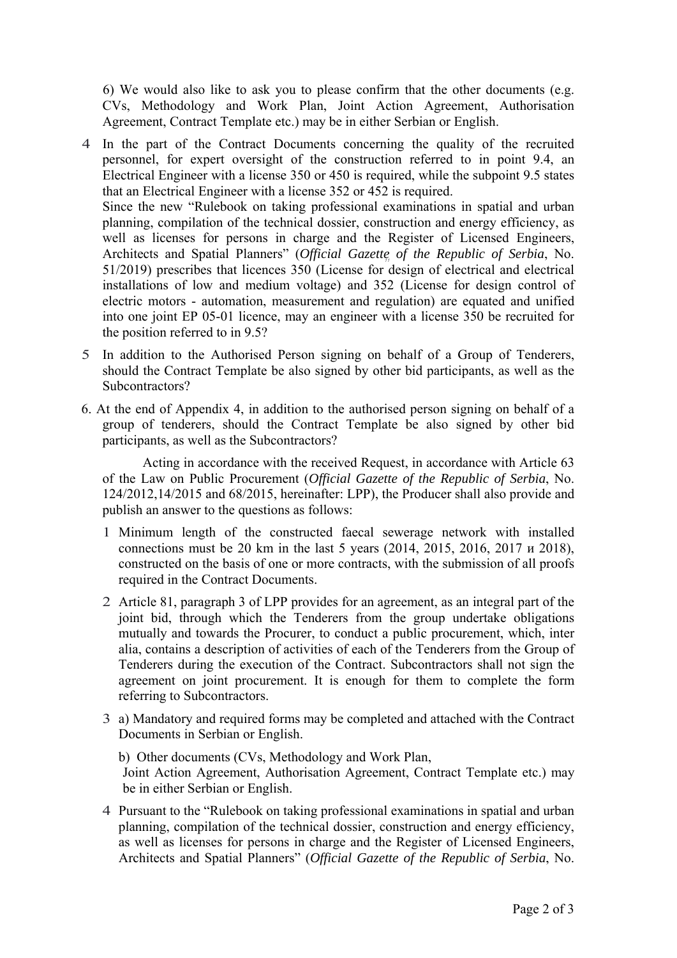6) We would also like to ask you to please confirm that the other documents (e.g. CVs, Methodology and Work Plan, Joint Action Agreement, Authorisation Agreement, Contract Template etc.) may be in either Serbian or English.

- Architects and Spatial Planners" (*Official Gazette of the Republic of Serbia*, No. 4 In the part of the Contract Documents concerning the quality of the recruited personnel, for expert oversight of the construction referred to in point 9.4, an Electrical Engineer with a license 350 or 450 is required, while the subpoint 9.5 states that an Electrical Engineer with a license 352 or 452 is required. Since the new "Rulebook on taking professional examinations in spatial and urban planning, compilation of the technical dossier, construction and energy efficiency, as well as licenses for persons in charge and the Register of Licensed Engineers, 51/2019) prescribes that licences 350 (License for design of electrical and electrical installations of low and medium voltage) and 352 (License for design control of electric motors - automation, measurement and regulation) are equated and unified into one joint EP 05-01 licence, may an engineer with a license 350 be recruited for the position referred to in 9.5?
- 5 In addition to the Authorised Person signing on behalf of a Group of Tenderers, should the Contract Template be also signed by other bid participants, as well as the Subcontractors?
- 6. At the end of Appendix 4, in addition to the authorised person signing on behalf of a group of tenderers, should the Contract Template be also signed by other bid participants, as well as the Subcontractors?

Acting in accordance with the received Request, in accordance with Article 63 of the Law on Public Procurement (*Official Gazette of the Republic of Serbia*, No. 124/2012,14/2015 and 68/2015, hereinafter: LPP), the Producer shall also provide and publish an answer to the questions as follows:

- 1 Minimum length of the constructed faecal sewerage network with installed connections must be 20 km in the last 5 years (2014, 2015, 2016, 2017 и 2018), constructed on the basis of one or more contracts, with the submission of all proofs required in the Contract Documents.
- 2 Article 81, paragraph 3 of LPP provides for an agreement, as an integral part of the joint bid, through which the Tenderers from the group undertake obligations mutually and towards the Procurer, to conduct a public procurement, which, inter alia, contains a description of activities of each of the Tenderers from the Group of Tenderers during the execution of the Contract. Subcontractors shall not sign the agreement on joint procurement. It is enough for them to complete the form referring to Subcontractors.
- 3 a) Mandatory and required forms may be completed and attached with the Contract Documents in Serbian or English.

b) Other documents (CVs, Methodology and Work Plan, Joint Action Agreement, Authorisation Agreement, Contract Template etc.) may be in either Serbian or English.

4 Pursuant to the "Rulebook on taking professional examinations in spatial and urban planning, compilation of the technical dossier, construction and energy efficiency, as well as licenses for persons in charge and the Register of Licensed Engineers, Architects and Spatial Planners" (*Official Gazette of the Republic of Serbia*, No.